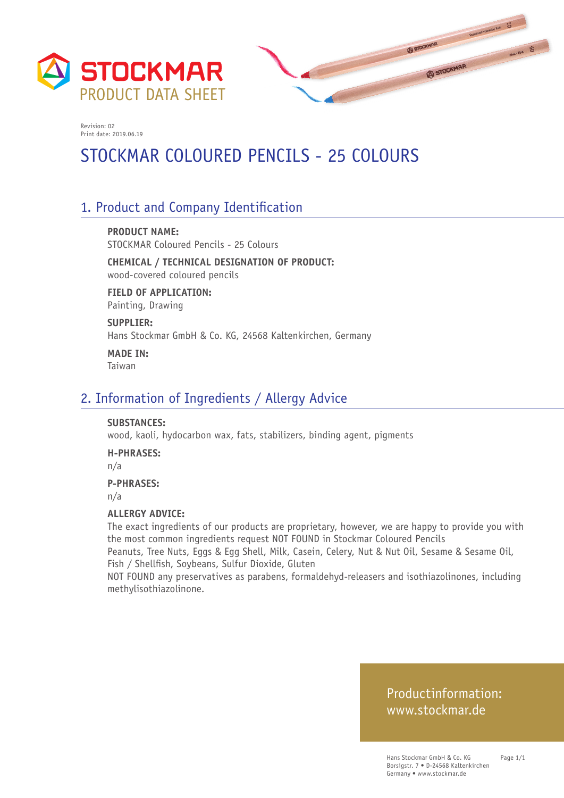



# STOCKMAR COLOURED PENCILS - 25 COLOURS

## 1. Product and Company Identification

**PRODUCT NAME:** STOCKMAR Coloured Pencils - 25 Colours

**CHEMICAL / TECHNICAL DESIGNATION OF PRODUCT:** wood-covered coloured pencils

**FIELD OF APPLICATION:** Painting, Drawing

**SUPPLIER:** Hans Stockmar GmbH & Co. KG, 24568 Kaltenkirchen, Germany

**MADE IN:** Taiwan

### 2. Information of Ingredients / Allergy Advice

#### **SUBSTANCES:**

wood, kaoli, hydocarbon wax, fats, stabilizers, binding agent, pigments

#### **H-PHRASES:**

n/a

#### **P-PHRASES:**

n/a

#### **ALLERGY ADVICE:**

The exact ingredients of our products are proprietary, however, we are happy to provide you with the most common ingredients request NOT FOUND in Stockmar Coloured Pencils

Peanuts, Tree Nuts, Eggs & Egg Shell, Milk, Casein, Celery, Nut & Nut Oil, Sesame & Sesame Oil, Fish / Shellfish, Soybeans, Sulfur Dioxide, Gluten

NOT FOUND any preservatives as parabens, formaldehyd-releasers and isothiazolinones, including methylisothiazolinone.

### Productinformation: www.stockmar.de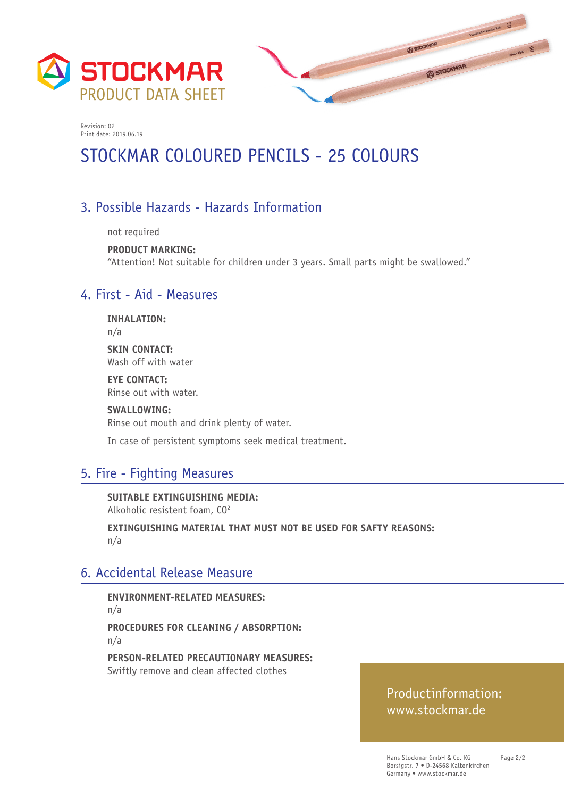



# STOCKMAR COLOURED PENCILS - 25 COLOURS

## 3. Possible Hazards - Hazards Information

not required

**PRODUCT MARKING:**  "Attention! Not suitable for children under 3 years. Small parts might be swallowed."

### 4. First - Aid - Measures

**INHALATION:**

n/a

**SKIN CONTACT:** Wash off with water

**EYE CONTACT:** Rinse out with water.

**SWALLOWING:** Rinse out mouth and drink plenty of water.

In case of persistent symptoms seek medical treatment.

### 5. Fire - Fighting Measures

**SUITABLE EXTINGUISHING MEDIA:**  Alkoholic resistent foam, CO2

**EXTINGUISHING MATERIAL THAT MUST NOT BE USED FOR SAFTY REASONS:**  n/a

### 6. Accidental Release Measure

**ENVIRONMENT-RELATED MEASURES:**  n/a **PROCEDURES FOR CLEANING / ABSORPTION:**  n/a

**PERSON-RELATED PRECAUTIONARY MEASURES:**  Swiftly remove and clean affected clothes

### Productinformation: www.stockmar.de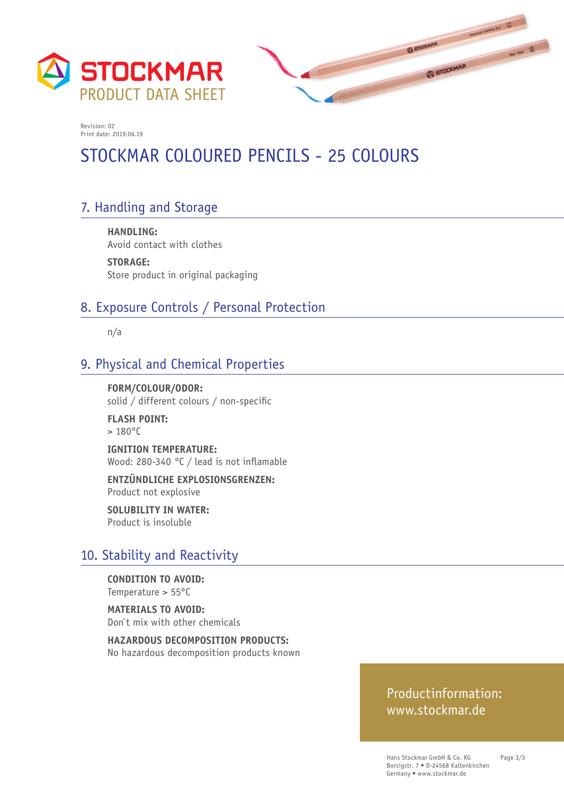



# STOCKMAR COLOURED PENCILS - 25 COLOURS

## 7. Handling and Storage

**HANDLING:**  Avoid contact with clothes

**STORAGE:**  Store product in original packaging

### 8. Exposure Controls / Personal Protection

n/a

## 9. Physical and Chemical Properties

**FORM/COLOUR/ODOR:**  solid / different colours / non-specific

**FLASH POINT:**   $> 180^{\circ}$ C

**IGNITION TEMPERATURE:**  Wood: 280-340 °C / lead is not inflamable

**ENTZÜNDLICHE EXPLOSIONSGRENZEN:**  Product not explosive

**SOLUBILITY IN WATER:**  Product is insoluble

### 10. Stability and Reactivity

**CONDITION TO AVOID:**  Temperature > 55°C

**MATERIALS TO AVOID:**  Don`t mix with other chemicals

**HAZARDOUS DECOMPOSITION PRODUCTS:**  No hazardous decomposition products known

### Productinformation: www.stockmar.de

Hans Stockmar GmbH & Co. KG Borsigstr. 7 • D-24568 Kaltenkirchen Germany • www.stockmar.de